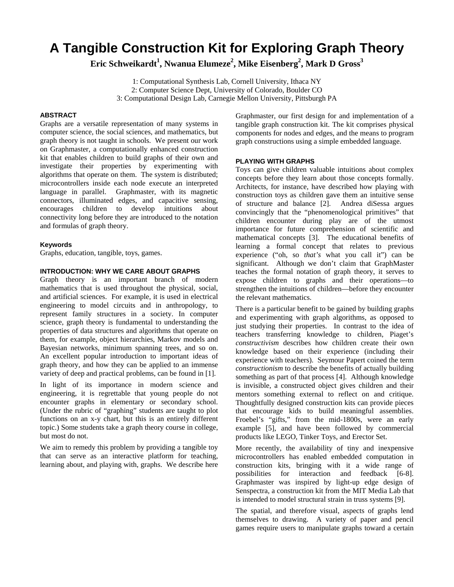# **A Tangible Construction Kit for Exploring Graph Theory**

 $\rm{Eric~Schweikardt}^1, \rm{Nwanua~Elumeze}^2, \rm{Mike~Eisenberg}^2, \rm{Mark~}D~\rm{Gross}^3$ 

1: Computational Synthesis Lab, Cornell University, Ithaca NY 2: Computer Science Dept, University of Colorado, Boulder CO 3: Computational Design Lab, Carnegie Mellon University, Pittsburgh PA

## **ABSTRACT**

Graphs are a versatile representation of many systems in computer science, the social sciences, and mathematics, but graph theory is not taught in schools. We present our work on Graphmaster, a computationally enhanced construction kit that enables children to build graphs of their own and investigate their properties by experimenting with algorithms that operate on them. The system is distributed; microcontrollers inside each node execute an interpreted language in parallel. Graphmaster, with its magnetic connectors, illuminated edges, and capacitive sensing, encourages children to develop intuitions about connectivity long before they are introduced to the notation and formulas of graph theory.

# **Keywords**

Graphs, education, tangible, toys, games.

## **INTRODUCTION: WHY WE CARE ABOUT GRAPHS**

Graph theory is an important branch of modern mathematics that is used throughout the physical, social, and artificial sciences. For example, it is used in electrical engineering to model circuits and in anthropology, to represent family structures in a society. In computer science, graph theory is fundamental to understanding the properties of data structures and algorithms that operate on them, for example, object hierarchies, Markov models and Bayesian networks, minimum spanning trees, and so on. An excellent popular introduction to important ideas of graph theory, and how they can be applied to an immense variety of deep and practical problems, can be found in [1].

In light of its importance in modern science and engineering, it is regrettable that young people do not encounter graphs in elementary or secondary school. (Under the rubric of "graphing" students are taught to plot functions on an x-y chart, but this is an entirely different topic.) Some students take a graph theory course in college, but most do not.

We aim to remedy this problem by providing a tangible toy that can serve as an interactive platform for teaching, learning about, and playing with, graphs. We describe here

Graphmaster, our first design for and implementation of a tangible graph construction kit. The kit comprises physical components for nodes and edges, and the means to program graph constructions using a simple embedded language.

## **PLAYING WITH GRAPHS**

Toys can give children valuable intuitions about complex concepts before they learn about those concepts formally. Architects, for instance, have described how playing with construction toys as children gave them an intuitive sense of structure and balance [2]. Andrea diSessa argues convincingly that the "phenomenological primitives" that children encounter during play are of the utmost importance for future comprehension of scientific and mathematical concepts [3]. The educational benefits of learning a formal concept that relates to previous experience ("oh, so *that's* what you call it") can be significant. Although we don't claim that GraphMaster teaches the formal notation of graph theory, it serves to expose children to graphs and their operations—to strengthen the intuitions of children—before they encounter the relevant mathematics.

There is a particular benefit to be gained by building graphs and experimenting with graph algorithms, as opposed to just studying their properties. In contrast to the idea of teachers transferring knowledge to children, Piaget's *constructivism* describes how children create their own knowledge based on their experience (including their experience with teachers). Seymour Papert coined the term *constructionism* to describe the benefits of actually building something as part of that process [4]. Although knowledge is invisible, a constructed object gives children and their mentors something external to reflect on and critique. Thoughtfully designed construction kits can provide pieces that encourage kids to build meaningful assemblies. Froebel's "gifts," from the mid-1800s, were an early example [5], and have been followed by commercial products like LEGO, Tinker Toys, and Erector Set.

More recently, the availability of tiny and inexpensive microcontrollers has enabled embedded computation in construction kits, bringing with it a wide range of possibilities for interaction and feedback [6-8]. Graphmaster was inspired by light-up edge design of Senspectra, a construction kit from the MIT Media Lab that is intended to model structural strain in truss systems [9].

The spatial, and therefore visual, aspects of graphs lend themselves to drawing. A variety of paper and pencil games require users to manipulate graphs toward a certain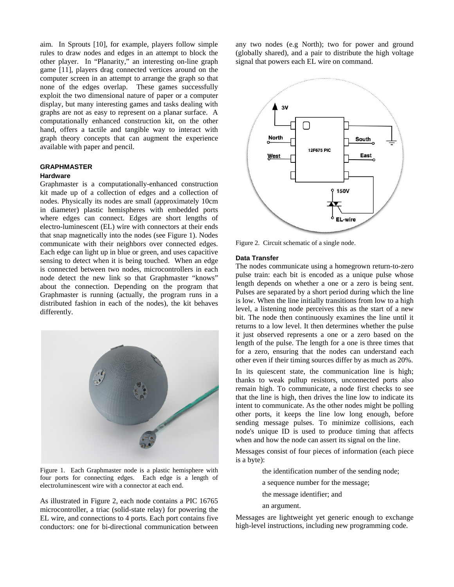aim. In Sprouts [10], for example, players follow simple rules to draw nodes and edges in an attempt to block the other player. In "Planarity," an interesting on-line graph game [11], players drag connected vertices around on the computer screen in an attempt to arrange the graph so that none of the edges overlap. These games successfully exploit the two dimensional nature of paper or a computer display, but many interesting games and tasks dealing with graphs are not as easy to represent on a planar surface. A computationally enhanced construction kit, on the other hand, offers a tactile and tangible way to interact with graph theory concepts that can augment the experience available with paper and pencil.

## **GRAPHMASTER**

## **Hardware**

Graphmaster is a computationally-enhanced construction kit made up of a collection of edges and a collection of nodes. Physically its nodes are small (approximately 10cm in diameter) plastic hemispheres with embedded ports where edges can connect. Edges are short lengths of electro-luminescent (EL) wire with connectors at their ends that snap magnetically into the nodes (see Figure 1). Nodes communicate with their neighbors over connected edges. Each edge can light up in blue or green, and uses capacitive sensing to detect when it is being touched. When an edge is connected between two nodes, microcontrollers in each node detect the new link so that Graphmaster "knows" about the connection. Depending on the program that Graphmaster is running (actually, the program runs in a distributed fashion in each of the nodes), the kit behaves differently.



Figure 1. Each Graphmaster node is a plastic hemisphere with four ports for connecting edges. Each edge is a length of electroluminescent wire with a connector at each end.

As illustrated in Figure 2, each node contains a PIC 16765 microcontroller, a triac (solid-state relay) for powering the EL wire, and connections to 4 ports. Each port contains five conductors: one for bi-directional communication between

any two nodes (e.g North); two for power and ground (globally shared), and a pair to distribute the high voltage signal that powers each EL wire on command.



Figure 2. Circuit schematic of a single node.

### **Data Transfer**

The nodes communicate using a homegrown return-to-zero pulse train: each bit is encoded as a unique pulse whose length depends on whether a one or a zero is being sent. Pulses are separated by a short period during which the line is low. When the line initially transitions from low to a high level, a listening node perceives this as the start of a new bit. The node then continuously examines the line until it returns to a low level. It then determines whether the pulse it just observed represents a one or a zero based on the length of the pulse. The length for a one is three times that for a zero, ensuring that the nodes can understand each other even if their timing sources differ by as much as 20%.

In its quiescent state, the communication line is high; thanks to weak pullup resistors, unconnected ports also remain high. To communicate, a node first checks to see that the line is high, then drives the line low to indicate its intent to communicate. As the other nodes might be polling other ports, it keeps the line low long enough, before sending message pulses. To minimize collisions, each node's unique ID is used to produce timing that affects when and how the node can assert its signal on the line.

Messages consist of four pieces of information (each piece is a byte):

the identification number of the sending node;

a sequence number for the message;

the message identifier; and

an argument.

Messages are lightweight yet generic enough to exchange high-level instructions, including new programming code.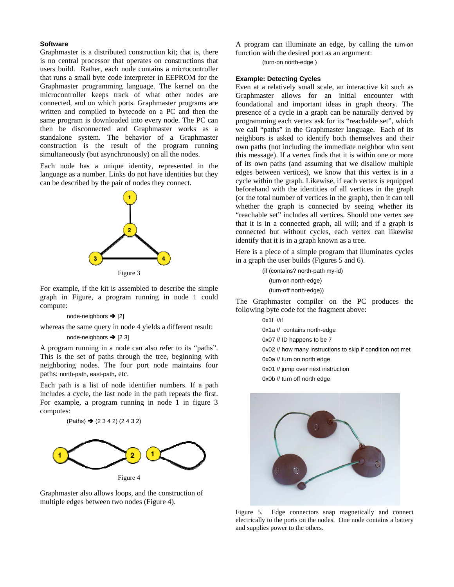#### **S Software**

Graphmaster is a distributed construction kit; that is, there is no central processor that operates on constructions that users build. Rather, each node contains a microcontroller that runs a small byte code interpreter in EEPROM for the Graphmaster programming language. The kernel on the microcontroller keeps track of what other nodes are connected, and on which ports. Graphmaster programs are written and compiled to bytecode on a PC and then the same program is downloaded into every node. The PC can then be disconnected and Graphmaster works as a standalone system. The behavior of a Graphmaster construction is the result of the program running simultaneously (but asynchronously) on all the nodes.

Each node has a unique identity, represented in the language as a number. Links do not have identities but they can be described by the pair of nodes they connect.



For example, if the kit is assembled to describe the simple graph in Figure, a program running in node 1 could c compute:

#### node-neighbors → [2]

whereas the same query in node 4 yields a different result:

#### node-neighbors  $\rightarrow$  [2 3]

whereas the same query in node 4 yields a different result:<br>node-neighbors  $\rightarrow$  [2 3]<br>A program running in a node can also refer to its "paths". This is the set of paths through the tree, beginning with neighboring nodes. The four port node maintains four paths: north-path, east-path, etc.

Each path is a list of node identifier numbers. If a path includes a cycle, the last node in the path repeats the first. For example, a program running in node 1 in figure 3 c computes:

$$
(Paths) \rightarrow (2 \ 3 \ 4 \ 2) (2 \ 4 \ 3 \ 2)
$$



Graphmaster also allows loops, and the construction of m multiple edges between two n nodes (Figure 4 4).

A program can illuminate an edge, by calling the turn-on function with the desired port as an argument:

(turn-on north-edge)

#### **Example: Detecting Cycles**

Even at a relatively small scale, an interactive kit such as Graphmaster allows for an initial encounter with foundational and important ideas in graph theory. The presence of a cycle in a graph can be naturally derived by programming each vertex ask for its "reachable set", which we call "paths" in the Graphmaster language. Each of its neighbors is asked to identify both themselves and their own paths (not including the immediate neighbor who sent this message). If a vertex finds that it is within one or more of its own paths (and assuming that we disallow multiple edges between vertices), we know that this vertex is in a cycle within the graph. Likewise, if each vertex is equipped beforehand with the identities of all vertices in the graph (or the total number of vertices in the graph), then it can tell whether the graph is connected by seeing whether its "reachable set" includes all vertices. Should one vertex see that it is in a connected graph, all will; and if a graph is connected but without cycles, each vertex can likewise identify that it is in a graph known as a tree.

Here is a piece of a simple program that illuminates cycles in a graph the user builds (Figures 5 and 6).

> (if (contains? north-path my-id) (turn-on north-edge) (turn-off north-edge))

The Graphmaster compiler on the PC produces the following byte code for the fragment above:

> 0x1f //if 0x1a // contains north-edge 0x07 // ID happens to be 7 0x02 // how many instructions to skip if condition not met 0x0a // turn o n north edge 0x01 // jump over next instruction 0x0b // turn o ff north edge



Figure 5. electrically to the ports on the nodes. One node contains a battery and supplies power to the others. 5. Edge connectors snap magnetically and connect